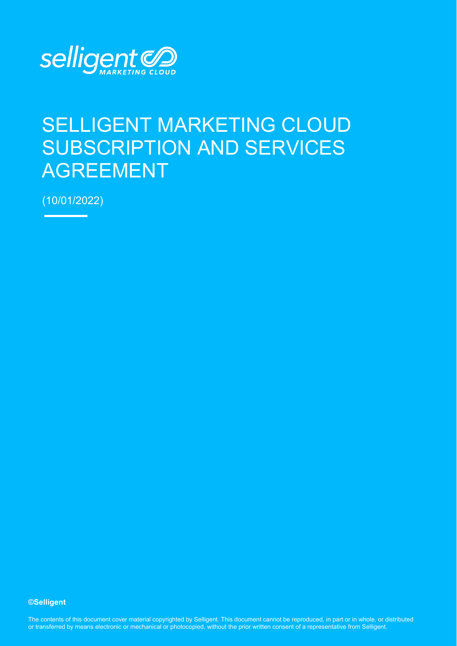

# SELLIGENT MARKETING CLOUD SUBSCRIPTION AND SERVICES AGREEMENT

(10/01/2022)

**©Selligent** 

The contents of this document cover material copyrighted by Selligent. This document cannot be reproduced, in part or in whole, or distributed or transferred by means electronic or mechanical or photocopied, without the prior written consent of a representative from Selligent.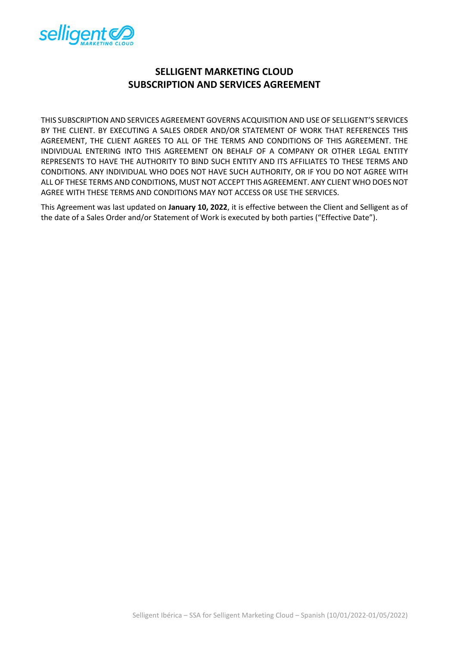

# **SELLIGENT MARKETING CLOUD SUBSCRIPTION AND SERVICES AGREEMENT**

THIS SUBSCRIPTION AND SERVICES AGREEMENT GOVERNS ACQUISITION AND USE OF SELLIGENT'S SERVICES BY THE CLIENT. BY EXECUTING A SALES ORDER AND/OR STATEMENT OF WORK THAT REFERENCES THIS AGREEMENT, THE CLIENT AGREES TO ALL OF THE TERMS AND CONDITIONS OF THIS AGREEMENT. THE INDIVIDUAL ENTERING INTO THIS AGREEMENT ON BEHALF OF A COMPANY OR OTHER LEGAL ENTITY REPRESENTS TO HAVE THE AUTHORITY TO BIND SUCH ENTITY AND ITS AFFILIATES TO THESE TERMS AND CONDITIONS. ANY INDIVIDUAL WHO DOES NOT HAVE SUCH AUTHORITY, OR IF YOU DO NOT AGREE WITH ALL OF THESE TERMS AND CONDITIONS, MUST NOT ACCEPT THIS AGREEMENT. ANY CLIENT WHO DOES NOT AGREE WITH THESE TERMS AND CONDITIONS MAY NOT ACCESS OR USE THE SERVICES.

This Agreement was last updated on **January 10, 2022**, it is effective between the Client and Selligent as of the date of a Sales Order and/or Statement of Work is executed by both parties ("Effective Date").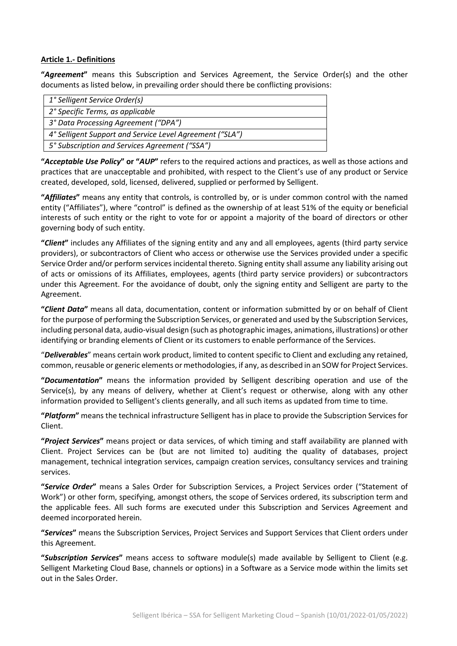#### **Article 1.- Definitions**

**"***Agreement***"** means this Subscription and Services Agreement, the Service Order(s) and the other documents as listed below, in prevailing order should there be conflicting provisions:

| 1° Selligent Service Order(s)                            |
|----------------------------------------------------------|
|                                                          |
| 2° Specific Terms, as applicable                         |
|                                                          |
| 3° Data Processing Agreement ("DPA")                     |
|                                                          |
| 4° Selligent Support and Service Level Agreement ("SLA") |
|                                                          |
| 5° Subscription and Services Agreement ("SSA")           |
|                                                          |

**"***Acceptable Use Policy***" or "***AUP***"** refers to the required actions and practices, as well as those actions and practices that are unacceptable and prohibited, with respect to the Client's use of any product or Service created, developed, sold, licensed, delivered, supplied or performed by Selligent.

**"***Affiliates***"** means any entity that controls, is controlled by, or is under common control with the named entity ("Affiliates"), where "control" is defined as the ownership of at least 51% of the equity or beneficial interests of such entity or the right to vote for or appoint a majority of the board of directors or other governing body of such entity.

**"***Client***"** includes any Affiliates of the signing entity and any and all employees, agents (third party service providers), or subcontractors of Client who access or otherwise use the Services provided under a specific Service Order and/or perform services incidental thereto. Signing entity shall assume any liability arising out of acts or omissions of its Affiliates, employees, agents (third party service providers) or subcontractors under this Agreement. For the avoidance of doubt, only the signing entity and Selligent are party to the Agreement.

**"***Client Data***"** means all data, documentation, content or information submitted by or on behalf of Client for the purpose of performing the Subscription Services, or generated and used by the Subscription Services, including personal data, audio-visual design (such as photographic images, animations, illustrations) or other identifying or branding elements of Client or its customers to enable performance of the Services.

"*Deliverables*" means certain work product, limited to content specific to Client and excluding any retained, common, reusable or generic elements or methodologies, if any, as described in an SOW for Project Services.

**"***Documentation***"** means the information provided by Selligent describing operation and use of the Service(s), by any means of delivery, whether at Client's request or otherwise, along with any other information provided to Selligent's clients generally, and all such items as updated from time to time.

**"***Platform***"** means the technical infrastructure Selligent has in place to provide the Subscription Services for Client.

**"***Project Services***"** means project or data services, of which timing and staff availability are planned with Client. Project Services can be (but are not limited to) auditing the quality of databases, project management, technical integration services, campaign creation services, consultancy services and training services.

**"***Service Order***"** means a Sales Order for Subscription Services, a Project Services order ("Statement of Work") or other form, specifying, amongst others, the scope of Services ordered, its subscription term and the applicable fees. All such forms are executed under this Subscription and Services Agreement and deemed incorporated herein.

**"***Services***"** means the Subscription Services, Project Services and Support Services that Client orders under this Agreement.

**"***Subscription Services***"** means access to software module(s) made available by Selligent to Client (e.g. Selligent Marketing Cloud Base, channels or options) in a Software as a Service mode within the limits set out in the Sales Order.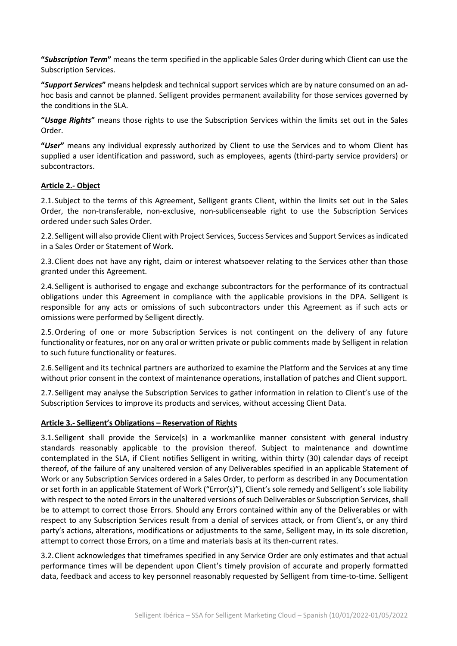**"***Subscription Term***"** means the term specified in the applicable Sales Order during which Client can use the Subscription Services.

**"***Support Services***"** means helpdesk and technical support services which are by nature consumed on an adhoc basis and cannot be planned. Selligent provides permanent availability for those services governed by the conditions in the SLA.

**"***Usage Rights***"** means those rights to use the Subscription Services within the limits set out in the Sales Order.

**"***User***"** means any individual expressly authorized by Client to use the Services and to whom Client has supplied a user identification and password, such as employees, agents (third-party service providers) or subcontractors.

#### **Article 2.- Object**

2.1.Subject to the terms of this Agreement, Selligent grants Client, within the limits set out in the Sales Order, the non-transferable, non-exclusive, non-sublicenseable right to use the Subscription Services ordered under such Sales Order.

2.2.Selligent will also provide Client with Project Services, Success Services and Support Services as indicated in a Sales Order or Statement of Work.

2.3.Client does not have any right, claim or interest whatsoever relating to the Services other than those granted under this Agreement.

2.4.Selligent is authorised to engage and exchange subcontractors for the performance of its contractual obligations under this Agreement in compliance with the applicable provisions in the DPA. Selligent is responsible for any acts or omissions of such subcontractors under this Agreement as if such acts or omissions were performed by Selligent directly.

2.5.Ordering of one or more Subscription Services is not contingent on the delivery of any future functionality or features, nor on any oral or written private or public comments made by Selligent in relation to such future functionality or features.

2.6.Selligent and its technical partners are authorized to examine the Platform and the Services at any time without prior consent in the context of maintenance operations, installation of patches and Client support.

2.7.Selligent may analyse the Subscription Services to gather information in relation to Client's use of the Subscription Services to improve its products and services, without accessing Client Data.

#### **Article 3.- Selligent's Obligations – Reservation of Rights**

3.1.Selligent shall provide the Service(s) in a workmanlike manner consistent with general industry standards reasonably applicable to the provision thereof. Subject to maintenance and downtime contemplated in the SLA, if Client notifies Selligent in writing, within thirty (30) calendar days of receipt thereof, of the failure of any unaltered version of any Deliverables specified in an applicable Statement of Work or any Subscription Services ordered in a Sales Order, to perform as described in any Documentation or set forth in an applicable Statement of Work ("Error(s)"), Client's sole remedy and Selligent's sole liability with respect to the noted Errors in the unaltered versions of such Deliverables or Subscription Services, shall be to attempt to correct those Errors. Should any Errors contained within any of the Deliverables or with respect to any Subscription Services result from a denial of services attack, or from Client's, or any third party's actions, alterations, modifications or adjustments to the same, Selligent may, in its sole discretion, attempt to correct those Errors, on a time and materials basis at its then-current rates.

3.2.Client acknowledges that timeframes specified in any Service Order are only estimates and that actual performance times will be dependent upon Client's timely provision of accurate and properly formatted data, feedback and access to key personnel reasonably requested by Selligent from time-to-time. Selligent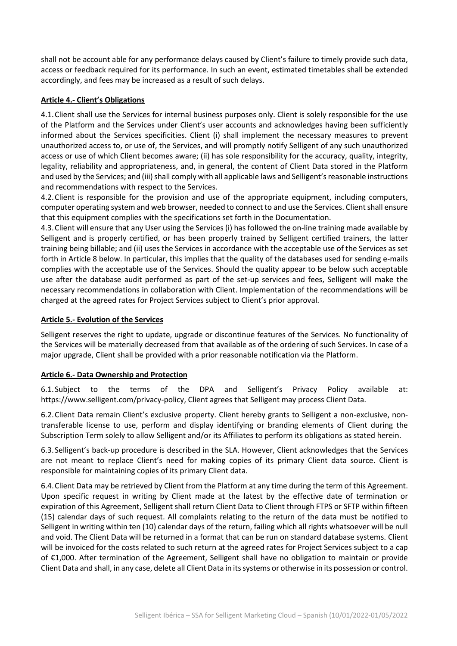shall not be account able for any performance delays caused by Client's failure to timely provide such data, access or feedback required for its performance. In such an event, estimated timetables shall be extended accordingly, and fees may be increased as a result of such delays.

### **Article 4.- Client's Obligations**

4.1.Client shall use the Services for internal business purposes only. Client is solely responsible for the use of the Platform and the Services under Client's user accounts and acknowledges having been sufficiently informed about the Services specificities. Client (i) shall implement the necessary measures to prevent unauthorized access to, or use of, the Services, and will promptly notify Selligent of any such unauthorized access or use of which Client becomes aware; (ii) has sole responsibility for the accuracy, quality, integrity, legality, reliability and appropriateness, and, in general, the content of Client Data stored in the Platform and used by the Services; and (iii) shall comply with all applicable laws and Selligent's reasonable instructions and recommendations with respect to the Services.

4.2.Client is responsible for the provision and use of the appropriate equipment, including computers, computer operating system and web browser, needed to connect to and use the Services. Client shall ensure that this equipment complies with the specifications set forth in the Documentation.

4.3.Client will ensure that any User using the Services (i) has followed the on-line training made available by Selligent and is properly certified, or has been properly trained by Selligent certified trainers, the latter training being billable; and (ii) uses the Services in accordance with the acceptable use of the Services as set forth in Article 8 below. In particular, this implies that the quality of the databases used for sending e-mails complies with the acceptable use of the Services. Should the quality appear to be below such acceptable use after the database audit performed as part of the set-up services and fees, Selligent will make the necessary recommendations in collaboration with Client. Implementation of the recommendations will be charged at the agreed rates for Project Services subject to Client's prior approval.

#### **Article 5.- Evolution of the Services**

Selligent reserves the right to update, upgrade or discontinue features of the Services. No functionality of the Services will be materially decreased from that available as of the ordering of such Services. In case of a major upgrade, Client shall be provided with a prior reasonable notification via the Platform.

# **Article 6.- Data Ownership and Protection**

6.1.Subject to the terms of the DPA and Selligent's Privacy Policy available at: [https://www.selligent.com/privacy-policy,](https://www.selligent.com/privacy-policy) Client agrees that Selligent may process Client Data.

6.2.Client Data remain Client's exclusive property. Client hereby grants to Selligent a non-exclusive, nontransferable license to use, perform and display identifying or branding elements of Client during the Subscription Term solely to allow Selligent and/or its Affiliates to perform its obligations as stated herein.

6.3.Selligent's back-up procedure is described in the SLA. However, Client acknowledges that the Services are not meant to replace Client's need for making copies of its primary Client data source. Client is responsible for maintaining copies of its primary Client data.

6.4.Client Data may be retrieved by Client from the Platform at any time during the term of this Agreement. Upon specific request in writing by Client made at the latest by the effective date of termination or expiration of this Agreement, Selligent shall return Client Data to Client through FTPS or SFTP within fifteen (15) calendar days of such request. All complaints relating to the return of the data must be notified to Selligent in writing within ten (10) calendar days of the return, failing which all rights whatsoever will be null and void. The Client Data will be returned in a format that can be run on standard database systems. Client will be invoiced for the costs related to such return at the agreed rates for Project Services subject to a cap of €1,000. After termination of the Agreement, Selligent shall have no obligation to maintain or provide Client Data and shall, in any case, delete all Client Data in its systems or otherwise in its possession or control.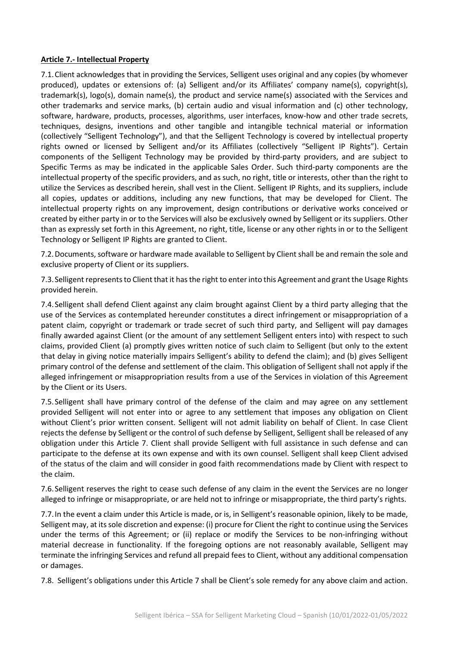#### **Article 7.- Intellectual Property**

7.1.Client acknowledges that in providing the Services, Selligent uses original and any copies (by whomever produced), updates or extensions of: (a) Selligent and/or its Affiliates' company name(s), copyright(s), trademark(s), logo(s), domain name(s), the product and service name(s) associated with the Services and other trademarks and service marks, (b) certain audio and visual information and (c) other technology, software, hardware, products, processes, algorithms, user interfaces, know-how and other trade secrets, techniques, designs, inventions and other tangible and intangible technical material or information (collectively "Selligent Technology"), and that the Selligent Technology is covered by intellectual property rights owned or licensed by Selligent and/or its Affiliates (collectively "Selligent IP Rights"). Certain components of the Selligent Technology may be provided by third-party providers, and are subject to Specific Terms as may be indicated in the applicable Sales Order. Such third-party components are the intellectual property of the specific providers, and as such, no right, title or interests, other than the right to utilize the Services as described herein, shall vest in the Client. Selligent IP Rights, and its suppliers, include all copies, updates or additions, including any new functions, that may be developed for Client. The intellectual property rights on any improvement, design contributions or derivative works conceived or created by either party in or to the Services will also be exclusively owned by Selligent or its suppliers. Other than as expressly set forth in this Agreement, no right, title, license or any other rights in or to the Selligent Technology or Selligent IP Rights are granted to Client.

7.2.Documents, software or hardware made available to Selligent by Client shall be and remain the sole and exclusive property of Client or its suppliers.

7.3.Selligent represents to Client that it has the right to enter into this Agreement and grant the Usage Rights provided herein.

7.4.Selligent shall defend Client against any claim brought against Client by a third party alleging that the use of the Services as contemplated hereunder constitutes a direct infringement or misappropriation of a patent claim, copyright or trademark or trade secret of such third party, and Selligent will pay damages finally awarded against Client (or the amount of any settlement Selligent enters into) with respect to such claims, provided Client (a) promptly gives written notice of such claim to Selligent (but only to the extent that delay in giving notice materially impairs Selligent's ability to defend the claim); and (b) gives Selligent primary control of the defense and settlement of the claim. This obligation of Selligent shall not apply if the alleged infringement or misappropriation results from a use of the Services in violation of this Agreement by the Client or its Users.

7.5.Selligent shall have primary control of the defense of the claim and may agree on any settlement provided Selligent will not enter into or agree to any settlement that imposes any obligation on Client without Client's prior written consent. Selligent will not admit liability on behalf of Client. In case Client rejects the defense by Selligent or the control of such defense by Selligent, Selligent shall be released of any obligation under this Article 7. Client shall provide Selligent with full assistance in such defense and can participate to the defense at its own expense and with its own counsel. Selligent shall keep Client advised of the status of the claim and will consider in good faith recommendations made by Client with respect to the claim.

7.6.Selligent reserves the right to cease such defense of any claim in the event the Services are no longer alleged to infringe or misappropriate, or are held not to infringe or misappropriate, the third party's rights.

7.7.In the event a claim under this Article is made, or is, in Selligent's reasonable opinion, likely to be made, Selligent may, at its sole discretion and expense: (i) procure for Client the right to continue using the Services under the terms of this Agreement; or (ii) replace or modify the Services to be non-infringing without material decrease in functionality. If the foregoing options are not reasonably available, Selligent may terminate the infringing Services and refund all prepaid fees to Client, without any additional compensation or damages.

7.8. Selligent's obligations under this Article 7 shall be Client's sole remedy for any above claim and action.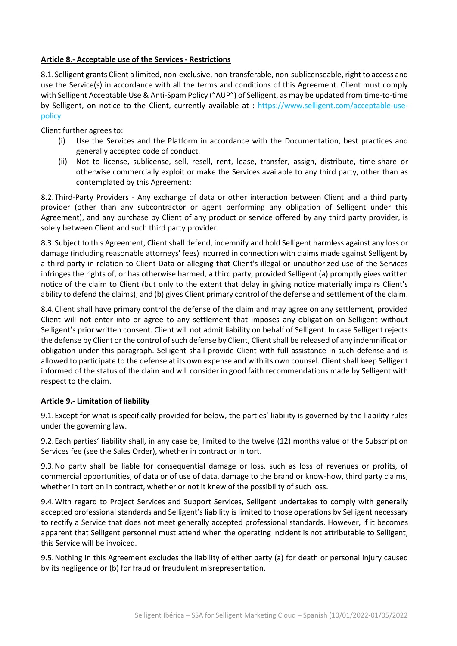#### **Article 8.- Acceptable use of the Services - Restrictions**

8.1. Selligent grants Client a limited, non-exclusive, non-transferable, non-sublicenseable, right to access and use the Service(s) in accordance with all the terms and conditions of this Agreement. Client must comply with Selligent Acceptable Use & Anti-Spam Policy ("AUP") of Selligent, as may be updated from time-to-time by Selligent, on notice to the Client, currently available at : [https://www.selligent.com/acceptable-use](https://www.selligent.com/acceptable-use-policy)[policy](https://www.selligent.com/acceptable-use-policy)

Client further agrees to:

- (i) Use the Services and the Platform in accordance with the Documentation, best practices and generally accepted code of conduct.
- (ii) Not to license, sublicense, sell, resell, rent, lease, transfer, assign, distribute, time-share or otherwise commercially exploit or make the Services available to any third party, other than as contemplated by this Agreement;

8.2.Third-Party Providers - Any exchange of data or other interaction between Client and a third party provider (other than any subcontractor or agent performing any obligation of Selligent under this Agreement), and any purchase by Client of any product or service offered by any third party provider, is solely between Client and such third party provider.

8.3.Subject to this Agreement, Client shall defend, indemnify and hold Selligent harmless against any loss or damage (including reasonable attorneys' fees) incurred in connection with claims made against Selligent by a third party in relation to Client Data or alleging that Client's illegal or unauthorized use of the Services infringes the rights of, or has otherwise harmed, a third party, provided Selligent (a) promptly gives written notice of the claim to Client (but only to the extent that delay in giving notice materially impairs Client's ability to defend the claims); and (b) gives Client primary control of the defense and settlement of the claim.

8.4.Client shall have primary control the defense of the claim and may agree on any settlement, provided Client will not enter into or agree to any settlement that imposes any obligation on Selligent without Selligent's prior written consent. Client will not admit liability on behalf of Selligent. In case Selligent rejects the defense by Client or the control of such defense by Client, Client shall be released of any indemnification obligation under this paragraph. Selligent shall provide Client with full assistance in such defense and is allowed to participate to the defense at its own expense and with its own counsel. Client shall keep Selligent informed of the status of the claim and will consider in good faith recommendations made by Selligent with respect to the claim.

#### **Article 9.- Limitation of liability**

9.1.Except for what is specifically provided for below, the parties' liability is governed by the liability rules under the governing law.

9.2.Each parties' liability shall, in any case be, limited to the twelve (12) months value of the Subscription Services fee (see the Sales Order), whether in contract or in tort.

9.3.No party shall be liable for consequential damage or loss, such as loss of revenues or profits, of commercial opportunities, of data or of use of data, damage to the brand or know-how, third party claims, whether in tort on in contract, whether or not it knew of the possibility of such loss.

9.4.With regard to Project Services and Support Services, Selligent undertakes to comply with generally accepted professional standards and Selligent's liability is limited to those operations by Selligent necessary to rectify a Service that does not meet generally accepted professional standards. However, if it becomes apparent that Selligent personnel must attend when the operating incident is not attributable to Selligent, this Service will be invoiced.

9.5.Nothing in this Agreement excludes the liability of either party (a) for death or personal injury caused by its negligence or (b) for fraud or fraudulent misrepresentation.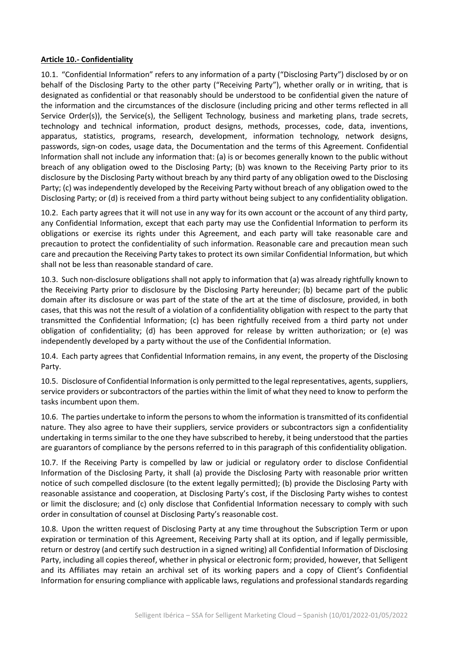#### **Article 10.- Confidentiality**

10.1. "Confidential Information" refers to any information of a party ("Disclosing Party") disclosed by or on behalf of the Disclosing Party to the other party ("Receiving Party"), whether orally or in writing, that is designated as confidential or that reasonably should be understood to be confidential given the nature of the information and the circumstances of the disclosure (including pricing and other terms reflected in all Service Order(s)), the Service(s), the Selligent Technology, business and marketing plans, trade secrets, technology and technical information, product designs, methods, processes, code, data, inventions, apparatus, statistics, programs, research, development, information technology, network designs, passwords, sign-on codes, usage data, the Documentation and the terms of this Agreement. Confidential Information shall not include any information that: (a) is or becomes generally known to the public without breach of any obligation owed to the Disclosing Party; (b) was known to the Receiving Party prior to its disclosure by the Disclosing Party without breach by any third party of any obligation owed to the Disclosing Party; (c) was independently developed by the Receiving Party without breach of any obligation owed to the Disclosing Party; or (d) is received from a third party without being subject to any confidentiality obligation.

10.2. Each party agrees that it will not use in any way for its own account or the account of any third party, any Confidential Information, except that each party may use the Confidential Information to perform its obligations or exercise its rights under this Agreement, and each party will take reasonable care and precaution to protect the confidentiality of such information. Reasonable care and precaution mean such care and precaution the Receiving Party takes to protect its own similar Confidential Information, but which shall not be less than reasonable standard of care.

10.3. Such non-disclosure obligations shall not apply to information that (a) was already rightfully known to the Receiving Party prior to disclosure by the Disclosing Party hereunder; (b) became part of the public domain after its disclosure or was part of the state of the art at the time of disclosure, provided, in both cases, that this was not the result of a violation of a confidentiality obligation with respect to the party that transmitted the Confidential Information; (c) has been rightfully received from a third party not under obligation of confidentiality; (d) has been approved for release by written authorization; or (e) was independently developed by a party without the use of the Confidential Information.

10.4. Each party agrees that Confidential Information remains, in any event, the property of the Disclosing Party.

10.5. Disclosure of Confidential Information is only permitted to the legal representatives, agents, suppliers, service providers or subcontractors of the parties within the limit of what they need to know to perform the tasks incumbent upon them.

10.6. The parties undertake to inform the persons to whom the information is transmitted of its confidential nature. They also agree to have their suppliers, service providers or subcontractors sign a confidentiality undertaking in terms similar to the one they have subscribed to hereby, it being understood that the parties are guarantors of compliance by the persons referred to in this paragraph of this confidentiality obligation.

10.7. If the Receiving Party is compelled by law or judicial or regulatory order to disclose Confidential Information of the Disclosing Party, it shall (a) provide the Disclosing Party with reasonable prior written notice of such compelled disclosure (to the extent legally permitted); (b) provide the Disclosing Party with reasonable assistance and cooperation, at Disclosing Party's cost, if the Disclosing Party wishes to contest or limit the disclosure; and (c) only disclose that Confidential Information necessary to comply with such order in consultation of counsel at Disclosing Party's reasonable cost.

10.8. Upon the written request of Disclosing Party at any time throughout the Subscription Term or upon expiration or termination of this Agreement, Receiving Party shall at its option, and if legally permissible, return or destroy (and certify such destruction in a signed writing) all Confidential Information of Disclosing Party, including all copies thereof, whether in physical or electronic form; provided, however, that Selligent and its Affiliates may retain an archival set of its working papers and a copy of Client's Confidential Information for ensuring compliance with applicable laws, regulations and professional standards regarding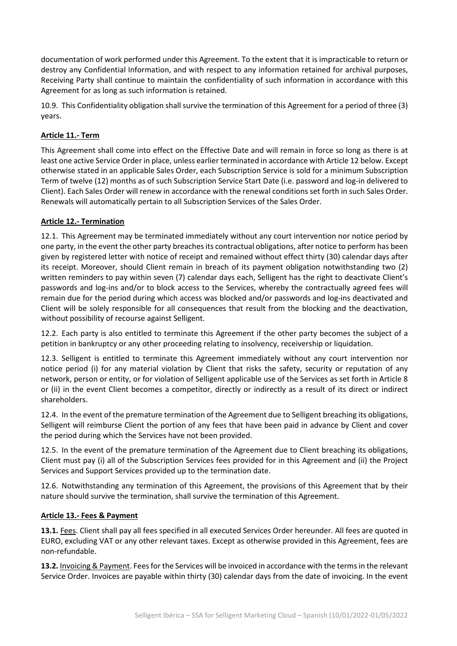documentation of work performed under this Agreement. To the extent that it is impracticable to return or destroy any Confidential Information, and with respect to any information retained for archival purposes, Receiving Party shall continue to maintain the confidentiality of such information in accordance with this Agreement for as long as such information is retained.

10.9. This Confidentiality obligation shall survive the termination of this Agreement for a period of three (3) years.

# **Article 11.- Term**

This Agreement shall come into effect on the Effective Date and will remain in force so long as there is at least one active Service Order in place, unless earlier terminated in accordance with Article 12 below. Except otherwise stated in an applicable Sales Order, each Subscription Service is sold for a minimum Subscription Term of twelve (12) months as of such Subscription Service Start Date (i.e. password and log-in delivered to Client). Each Sales Order will renew in accordance with the renewal conditions set forth in such Sales Order. Renewals will automatically pertain to all Subscription Services of the Sales Order.

# **Article 12.- Termination**

12.1. This Agreement may be terminated immediately without any court intervention nor notice period by one party, in the event the other party breaches its contractual obligations, after notice to perform has been given by registered letter with notice of receipt and remained without effect thirty (30) calendar days after its receipt. Moreover, should Client remain in breach of its payment obligation notwithstanding two (2) written reminders to pay within seven (7) calendar days each, Selligent has the right to deactivate Client's passwords and log-ins and/or to block access to the Services, whereby the contractually agreed fees will remain due for the period during which access was blocked and/or passwords and log-ins deactivated and Client will be solely responsible for all consequences that result from the blocking and the deactivation, without possibility of recourse against Selligent.

12.2. Each party is also entitled to terminate this Agreement if the other party becomes the subject of a petition in bankruptcy or any other proceeding relating to insolvency, receivership or liquidation.

12.3. Selligent is entitled to terminate this Agreement immediately without any court intervention nor notice period (i) for any material violation by Client that risks the safety, security or reputation of any network, person or entity, or for violation of Selligent applicable use of the Services as set forth in Article 8 or (ii) in the event Client becomes a competitor, directly or indirectly as a result of its direct or indirect shareholders.

12.4. In the event of the premature termination of the Agreement due to Selligent breaching its obligations, Selligent will reimburse Client the portion of any fees that have been paid in advance by Client and cover the period during which the Services have not been provided.

12.5. In the event of the premature termination of the Agreement due to Client breaching its obligations, Client must pay (i) all of the Subscription Services fees provided for in this Agreement and (ii) the Project Services and Support Services provided up to the termination date.

12.6. Notwithstanding any termination of this Agreement, the provisions of this Agreement that by their nature should survive the termination, shall survive the termination of this Agreement.

# **Article 13.- Fees & Payment**

**13.1.** Fees. Client shall pay all fees specified in all executed Services Order hereunder. All fees are quoted in EURO, excluding VAT or any other relevant taxes. Except as otherwise provided in this Agreement, fees are non-refundable.

**13.2.** Invoicing & Payment. Fees for the Services will be invoiced in accordance with the terms in the relevant Service Order. Invoices are payable within thirty (30) calendar days from the date of invoicing. In the event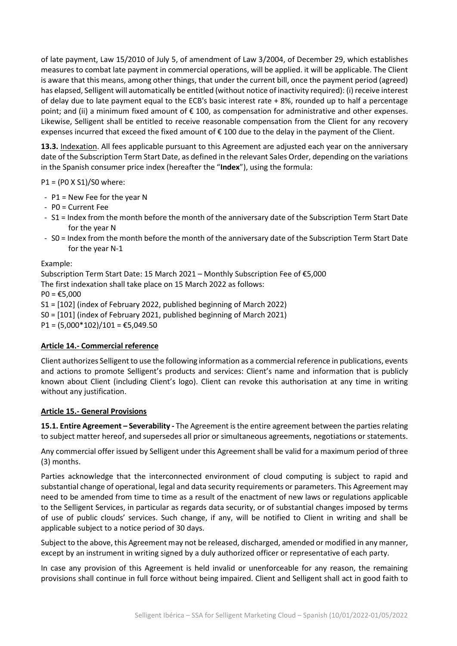of late payment, Law 15/2010 of July 5, of amendment of Law 3/2004, of December 29, which establishes measures to combat late payment in commercial operations, will be applied. it will be applicable. The Client is aware that this means, among other things, that under the current bill, once the payment period (agreed) has elapsed, Selligent will automatically be entitled (without notice of inactivity required): (i) receive interest of delay due to late payment equal to the ECB's basic interest rate + 8%, rounded up to half a percentage point; and (ii) a minimum fixed amount of € 100, as compensation for administrative and other expenses. Likewise, Selligent shall be entitled to receive reasonable compensation from the Client for any recovery expenses incurred that exceed the fixed amount of € 100 due to the delay in the payment of the Client.

**13.3.** Indexation. All fees applicable pursuant to this Agreement are adjusted each year on the anniversary date of the Subscription Term Start Date, as defined in the relevant Sales Order, depending on the variations in the Spanish consumer price index (hereafter the "**Index**"), using the formula:

P1 = (P0 X S1)/S0 where:

- P1 = New Fee for the year N
- P0 = Current Fee
- S1 = Index from the month before the month of the anniversary date of the Subscription Term Start Date for the year N
- S0 = Index from the month before the month of the anniversary date of the Subscription Term Start Date for the year N-1

Example:

Subscription Term Start Date: 15 March 2021 – Monthly Subscription Fee of €5,000 The first indexation shall take place on 15 March 2022 as follows:  $PO = £5,000$ S1 = [102] (index of February 2022, published beginning of March 2022) S0 = [101] (index of February 2021, published beginning of March 2021)  $P1 = (5,000*102)/101 = \text{\textsterling}5,049.50$ 

# **Article 14.- Commercial reference**

Client authorizes Selligent to use the following information as a commercial reference in publications, events and actions to promote Selligent's products and services: Client's name and information that is publicly known about Client (including Client's logo). Client can revoke this authorisation at any time in writing without any justification.

#### **Article 15.- General Provisions**

**15.1. Entire Agreement – Severability -** The Agreement is the entire agreement between the parties relating to subject matter hereof, and supersedes all prior or simultaneous agreements, negotiations or statements.

Any commercial offer issued by Selligent under this Agreement shall be valid for a maximum period of three (3) months.

Parties acknowledge that the interconnected environment of cloud computing is subject to rapid and substantial change of operational, legal and data security requirements or parameters. This Agreement may need to be amended from time to time as a result of the enactment of new laws or regulations applicable to the Selligent Services, in particular as regards data security, or of substantial changes imposed by terms of use of public clouds' services. Such change, if any, will be notified to Client in writing and shall be applicable subject to a notice period of 30 days.

Subject to the above, this Agreement may not be released, discharged, amended or modified in any manner, except by an instrument in writing signed by a duly authorized officer or representative of each party.

In case any provision of this Agreement is held invalid or unenforceable for any reason, the remaining provisions shall continue in full force without being impaired. Client and Selligent shall act in good faith to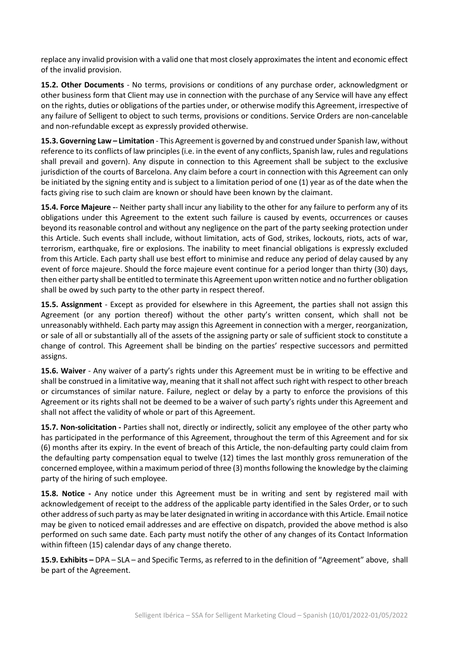replace any invalid provision with a valid one that most closely approximates the intent and economic effect of the invalid provision.

**15.2. Other Documents** - No terms, provisions or conditions of any purchase order, acknowledgment or other business form that Client may use in connection with the purchase of any Service will have any effect on the rights, duties or obligations of the parties under, or otherwise modify this Agreement, irrespective of any failure of Selligent to object to such terms, provisions or conditions. Service Orders are non-cancelable and non-refundable except as expressly provided otherwise.

**15.3. Governing Law – Limitation** - This Agreement is governed by and construed under Spanish law, without reference to its conflicts of law principles (i.e. in the event of any conflicts, Spanish law, rules and regulations shall prevail and govern). Any dispute in connection to this Agreement shall be subject to the exclusive jurisdiction of the courts of Barcelona. Any claim before a court in connection with this Agreement can only be initiated by the signing entity and is subject to a limitation period of one (1) year as of the date when the facts giving rise to such claim are known or should have been known by the claimant.

**15.4. Force Majeure -**- Neither party shall incur any liability to the other for any failure to perform any of its obligations under this Agreement to the extent such failure is caused by events, occurrences or causes beyond its reasonable control and without any negligence on the part of the party seeking protection under this Article. Such events shall include, without limitation, acts of God, strikes, lockouts, riots, acts of war, terrorism, earthquake, fire or explosions. The inability to meet financial obligations is expressly excluded from this Article. Each party shall use best effort to minimise and reduce any period of delay caused by any event of force majeure. Should the force majeure event continue for a period longer than thirty (30) days, then either party shall be entitled to terminate this Agreement upon written notice and no further obligation shall be owed by such party to the other party in respect thereof.

**15.5. Assignment** - Except as provided for elsewhere in this Agreement, the parties shall not assign this Agreement (or any portion thereof) without the other party's written consent, which shall not be unreasonably withheld. Each party may assign this Agreement in connection with a merger, reorganization, or sale of all or substantially all of the assets of the assigning party or sale of sufficient stock to constitute a change of control. This Agreement shall be binding on the parties' respective successors and permitted assigns.

**15.6. Waiver** - Any waiver of a party's rights under this Agreement must be in writing to be effective and shall be construed in a limitative way, meaning that it shall not affect such right with respect to other breach or circumstances of similar nature. Failure, neglect or delay by a party to enforce the provisions of this Agreement or its rights shall not be deemed to be a waiver of such party's rights under this Agreement and shall not affect the validity of whole or part of this Agreement.

**15.7. Non-solicitation -** Parties shall not, directly or indirectly, solicit any employee of the other party who has participated in the performance of this Agreement, throughout the term of this Agreement and for six (6) months after its expiry. In the event of breach of this Article, the non-defaulting party could claim from the defaulting party compensation equal to twelve (12) times the last monthly gross remuneration of the concerned employee, within a maximum period of three (3) months following the knowledge by the claiming party of the hiring of such employee.

**15.8. Notice -** Any notice under this Agreement must be in writing and sent by registered mail with acknowledgement of receipt to the address of the applicable party identified in the Sales Order, or to such other address of such party as may be later designated in writing in accordance with this Article. Email notice may be given to noticed email addresses and are effective on dispatch, provided the above method is also performed on such same date. Each party must notify the other of any changes of its Contact Information within fifteen (15) calendar days of any change thereto.

**15.9. Exhibits –** DPA – SLA – and Specific Terms, as referred to in the definition of "Agreement" above, shall be part of the Agreement.